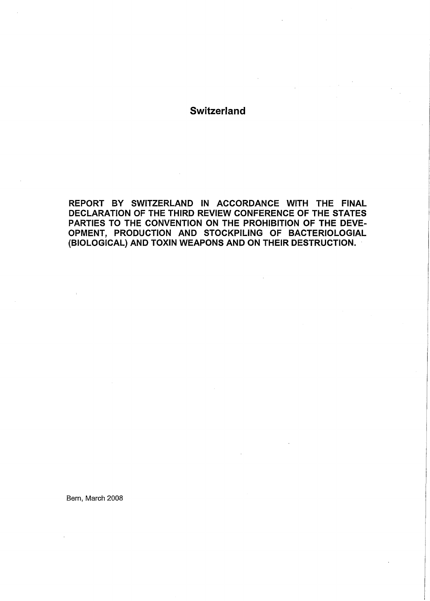# **Switzerland**

REPORT BY SWITZERLAND IN ACCORDANCE WITH THE FINAL DECLARATION OF THE THIRD REVIEW CONFERENCE OF THE STATES PARTIES TO THE CONVENTION ON THE PROHIBITION OF THE DEVE-OPMENT, PRODUCTION AND STOCKPILING OF BACTERIOLOGIAL (BIOLOGICAL) AND TOXIN WEAPONS AND ON THEIR DESTRUCTION. ·

Bern, March 2008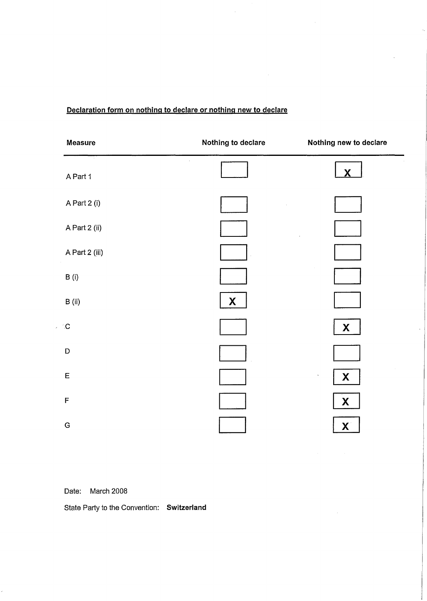## **Declaration form on nothing to declare or nothing new to declare**

| Measure                         | Nothing to declare | Nothing new to declare                    |
|---------------------------------|--------------------|-------------------------------------------|
| $\lambda$<br>$\sim$<br>A Part 1 |                    | $\overline{\textbf{X}}$                   |
| A Part 2 (i)                    |                    |                                           |
| A Part 2 (ii)                   |                    |                                           |
| A Part 2 (iii)                  |                    |                                           |
| B(i)                            |                    |                                           |
| $\, {\bf B} \,$ (ii)            | X                  |                                           |
| C.                              |                    | X                                         |
| $\mathsf D$                     |                    |                                           |
| $\mathsf E$                     |                    | $\boldsymbol{\mathsf{X}}$<br>$\mathbf{v}$ |
| $\mathsf F$                     |                    | $\boldsymbol{\mathsf{X}}$                 |
| G                               |                    | $\boldsymbol{X}$                          |

 $\hat{\mathcal{L}}$ 

Date: March 2008

 $\bar{\mathcal{A}}$ 

State Party to the Convention: Switzerland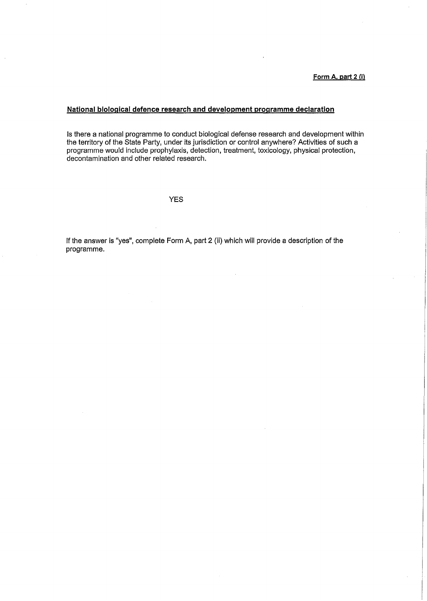## **National biological defence research and development programme declaration**

Is there a national programme to conduct biological defense research and development within the territory of the State Party, under its jurisdiction or control anywhere? Activities of such a programme would include prophylaxis, detection, treatment, toxicology, physical protection, decontamination and other related research.

#### YES

If the answer is "yes", complete Form A, part 2 (ii) which will provide a description of the programme.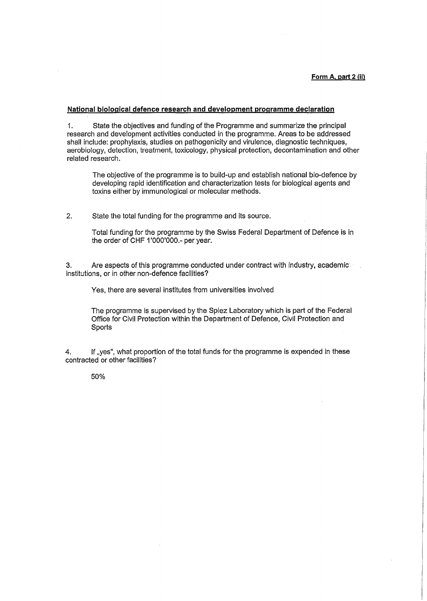#### **National biological defence research and development programme declaration**

1. State the objectives and funding of the Programme and summarize the principal research and development activities conducted in the programme. Areas to be addressed shall include: prophylaxis, studies on pathogenicity and virulence, diagnostic techniques, aerobiology, detection, treatment, toxicology, physical protection, decontamination and other related research.

The objective of the programme is to build-up and establish national bio-defence by developing rapid identification and characterization tests for biological agents and toxins either by immunological or molecular methods.

2. State the total funding for the programme and its source.

Total funding for the programme by the Swiss Federal Department of Defence is in the order of CHF 1'000'000.- per year.

3. Are aspects of this programme conducted under contract with industry, academic institutions, or in other non-defence facilities?

Yes, there are several institutes from universities involved

The programme is supervised by the Spiez Laboratory which is part of the Federal Office for Civil Protection within the Department of Defence, Civil Protection and **Sports** 

4. If ,,yes", what proportion of the total funds for the programme is expended in these contracted or other facilities?

50%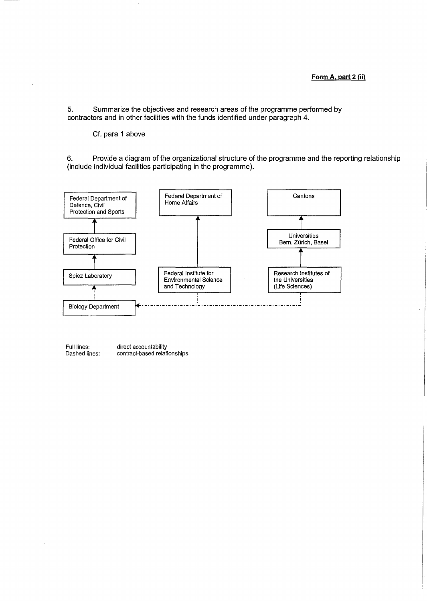5. Summarize the objectives and research areas of the programme performed by contractors and in other facilities with the funds identified under paragraph 4.

Cf. para 1 above

6. Provide a diagram of the organizational structure of the programme and the reporting relationship (include individual facilities participating in the programme).



Full lines: Dashed lines: direct accountability contract-based relationships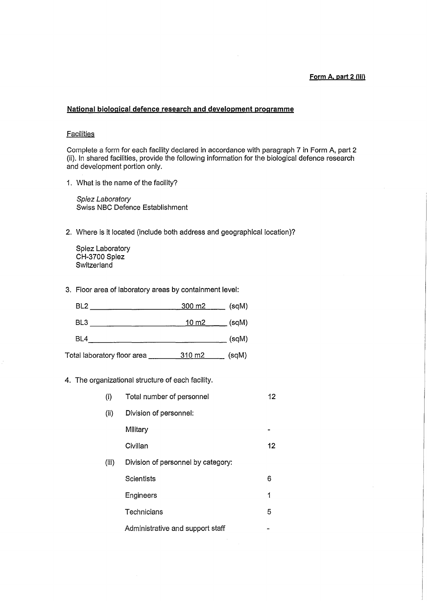#### **Form A, part 2 (iii)**

### **National biological defence research and development programme**

## **Facilities**

Complete a form for each facility declared in accordance with paragraph 7 in Form A, part 2 (ii). In shared facilities, provide the following information for the biological defence research and development portion only.

1. What is the name of the facility?

Spiez Laboratory Swiss NBC Defence Establishment

2. Where is it located (include both address and geographical location)?

Spiez Laboratory **CH-3700 Spiez Switzerland** 

3. Floor area of laboratory areas by containment level:

| BL <sub>2</sub>             | <u>300 m2 .</u> | (sqM) |
|-----------------------------|-----------------|-------|
| BL3                         | 10 m2           | (sqM) |
| BL4                         |                 | (sqM) |
| Total laboratory floor area | 310 m2          | (sqM) |

4. The organizational structure of each facility.

| (i)   | Total number of personnel          | 12 |
|-------|------------------------------------|----|
| (ii)  | Division of personnel:             |    |
|       | Military                           |    |
|       | Civilian                           | 12 |
| (iii) | Division of personnel by category: |    |
|       | Scientists                         | 6  |
|       | Engineers                          | 1  |
|       | Technicians                        | 5  |
|       | Administrative and support staff   |    |

 $\bar{z}$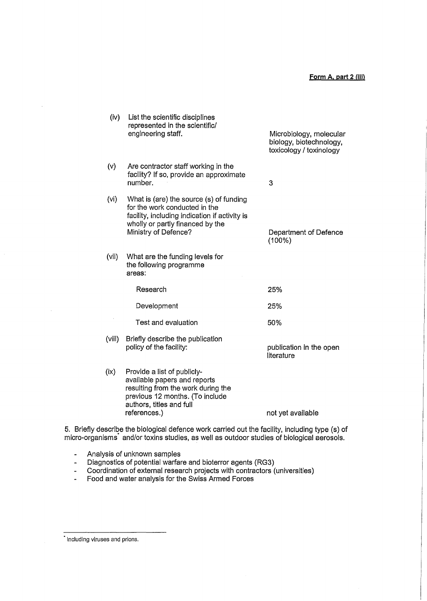| (iv)   | List the scientific disciplines<br>represented in the scientific/<br>engineering staff.                                                                                               | Microbiology, molecular<br>biology, biotechnology,<br>toxicology / toxinology |
|--------|---------------------------------------------------------------------------------------------------------------------------------------------------------------------------------------|-------------------------------------------------------------------------------|
| (v)    | Are contractor staff working in the<br>facility? If so, provide an approximate<br>number.                                                                                             | 3                                                                             |
| (vi)   | What is (are) the source (s) of funding<br>for the work conducted in the<br>facility, including indication if activity is<br>wholly or partly financed by the<br>Ministry of Defence? | Department of Defence<br>(100%)                                               |
| (vii)  | What are the funding levels for<br>the following programme<br>areas:                                                                                                                  |                                                                               |
|        | Research                                                                                                                                                                              | 25%                                                                           |
|        | Development                                                                                                                                                                           | 25%                                                                           |
|        | Test and evaluation                                                                                                                                                                   | 50%                                                                           |
| (viii) | Briefly describe the publication<br>policy of the facility:                                                                                                                           | publication in the open<br>literature                                         |
| (ix)   | Provide a list of publicly-<br>available papers and reports<br>resulting from the work during the<br>previous 12 months. (To include<br>authors, titles and full<br>references.)      | not yet available                                                             |

5. Briefly describe the biological defence work carried out the facility, including type (s) of micro-organisms· and/or toxins studies, as well as outdoor studies of biological aerosols.

Analysis of unknown samples  $\Box$ 

 $\blacksquare$ Diagnostics of potential warfare and bioterror agents {RG3)

- $\mathbb{Z}^2$ Coordination of external research projects with contractors (universities)
- Food and water analysis for the Swiss Armed Forces  $\omega$

Including viruses and prions.

 $\bar{\beta}$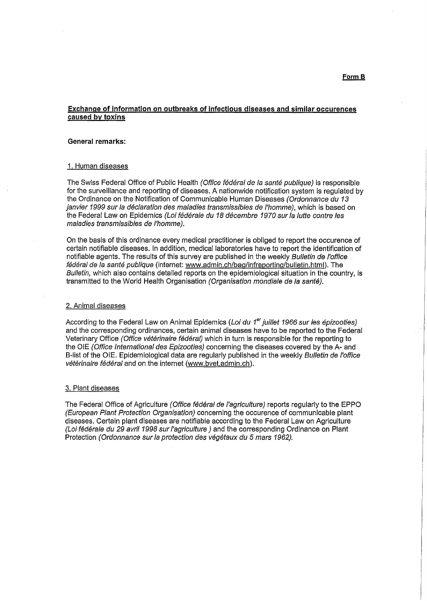## **Exchange of information on outbreaks of infectious diseases and similar occurences caused by toxins**

#### **General remarks:**

#### 1. Human diseases

The Swiss Federal Office of Public Health (Office fédéral de la santé publique) is responsible for the surveillance and reporting of diseases. A nationwide notification system is regulated by the Ordinance on the Notification of Communicable Human Diseases (Ordonnance du 13 ianvier 1999 sur la déclaration des maladies transmissibles de l'homme), which is based on the Federal Law on Epidemics (Loi federate du *18* decembre *1970* sur la lutte contre /es maladies transmissib/es de /'homme).

On the basis of this ordinance every medical practitioner is obliged to report the occurence of certain notifiable diseases. In addition, medical laboratories have to report the identification of notifiable agents. The results of this survey are published in the weekly Bulletin de l'office. fédéral de la santé publique (internet: www.admin.ch/bag/infreporting/bulletin.html). The Bulletin, which also contains detailed reports on the epidemiological situation in the country, is transmitted to the World Health Organisation (Organisation mondiale de la santé).

#### 2. Animal diseases

According to the Federal Law on Animal Epidemics (Loi du 1<sup>er</sup> juillet 1966 sur les épizooties) and the corresponding ordinances, certain animal diseases have to be reported to the Federal Veterinary Office (Office vétérinaire fédéral) which in turn is responsible for the reporting to the OIE (Office International des Epizooties) concerning the diseases covered by the A- and B-list of the OIE. Epidemiological data are regularly published in the weekly Bulletin de l'office vétérinaire fédéral and on the internet (www.bvet.admin.ch).

#### 3. Plant diseases

The Federal Office of Agriculture (Office fédéral de l'agriculture) reports regularly to the EPPO (European Plant Protection Organisation) concerning the occurence of communicable plant diseases. Certain plant diseases are notifiable according to the Federal Law on Agriculture (Loi federate du *29* avril *1998* sur !'agriculture) and the corresponding Ordinance on Plant Protection (Ordonnance sur la protection des vegetaux du 5 mars *1962).*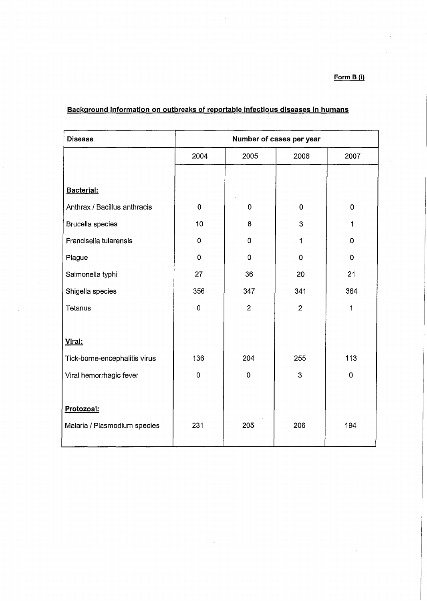## **Form 8 (i}**

| <b>Disease</b>                | Number of cases per year |                |                |             |
|-------------------------------|--------------------------|----------------|----------------|-------------|
|                               | 2004                     | 2005           | 2006           | 2007        |
|                               |                          |                |                |             |
| Bacterial:                    |                          |                |                |             |
| Anthrax / Bacillus anthracis  | $\bf{0}$                 | $\bf{0}$       | $\bf{0}$       | $\pmb{0}$   |
| <b>Brucella species</b>       | 10                       | 8              | 3              | 1           |
| Francisella tularensis        | 0                        | $\mathbf 0$    | 1              | 0           |
| Plague                        | $\mathbf 0$              | $\mathbf 0$    | 0              | 0           |
| Salmonella typhi              | 27                       | 36             | 20             | 21          |
| Shigella species              | 356                      | 347            | 341            | 364         |
| Tetanus                       | $\pmb{0}$                | $\overline{2}$ | $\overline{2}$ | 1           |
|                               |                          |                |                |             |
| Viral:                        |                          |                |                |             |
| Tick-borne-encephalitis virus | 136                      | 204            | 255            | 113         |
| Viral hemorrhagic fever       | $\mathbf 0$              | $\pmb{0}$      | 3              | $\mathbf 0$ |
|                               |                          |                |                |             |
| Protozoal:                    |                          |                |                |             |
| Malaria / Plasmodium species  | 231                      | 205            | 206            | 194         |
|                               |                          |                |                |             |

 $\boldsymbol{\delta}$ 

# **Background information on outbreaks of reportable infectious diseases in humans**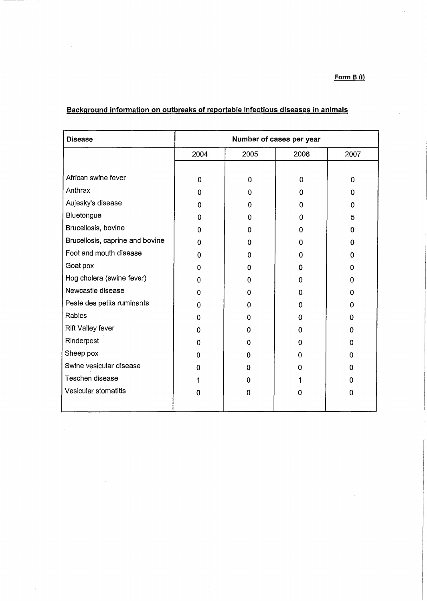**Form B {i)** 

 $\bar{\lambda}$ 

| <b>Disease</b>                  | Number of cases per year |          |             |          |
|---------------------------------|--------------------------|----------|-------------|----------|
|                                 | 2004                     | 2005     | 2006        | 2007     |
|                                 |                          |          |             |          |
| African swine fever             | $\mathbf 0$              | 0        | $\mathbf 0$ | $\Omega$ |
| Anthrax                         | 0                        | 0        | 0           | 0        |
| Aujesky's disease               | 0                        | 0        | 0           | 0        |
| Bluetongue                      | 0                        | 0        | 0           | 5        |
| Brucellosis, bovine             | $\Omega$                 | 0        | 0           | 0        |
| Brucellosis, caprine and bovine | $\Omega$                 | o        | 0           | 0        |
| Foot and mouth disease          | 0                        | 0        | 0           | 0        |
| Goat pox                        | 0                        | 0        | 0           | 0        |
| Hog cholera (swine fever)       | O                        | o        | O           | o        |
| Newcastle disease               | 0                        | 0        | n           | 0        |
| Peste des petits ruminants      | 0                        | 0        | n           | 0        |
| Rabies                          | 0                        | o        | O           | n        |
| Rift Valley fever               | 0                        | 0        | 0           | 0        |
| Rinderpest                      | $\Omega$                 | 0        | 0           | 0        |
| Sheep pox                       | 0                        | 0        | 0           | 0        |
| Swine vesicular disease         | o                        | $\Omega$ | 0           | 0        |
| Teschen disease                 | 1                        | 0        |             | 0        |
| Vesicular stomatitis            | 0                        | 0        | 0           | 0        |

 $\hat{\mathcal{A}}$ 

 $\overline{\phantom{a}}$ 

# **Background information on outbreaks of reportable infectious diseases in animals**

 $\sim$ 

 $\mathcal{L}^{\text{max}}_{\text{max}}$  and  $\mathcal{L}^{\text{max}}_{\text{max}}$ 

 $\hat{\boldsymbol{\beta}}$ 

 $\sim$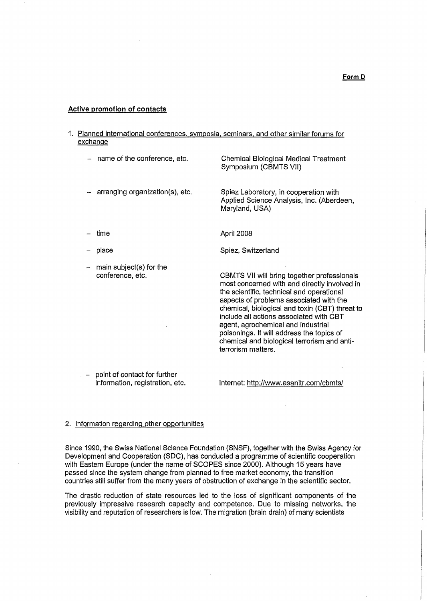#### **Active promotion of contacts**

- 1. Planned international conferences, symposia, seminars, and other similar forums for exchange
	- name of the conference, etc.

Chemical Biological Medical Treatment Symposium {CBMTS VII)

- arranging organization(s), etc.

Spiez Laboratory, in cooperation with Applied Science Analysis, Inc. (Aberdeen, Maryland, USA)

- time
- place
- main subject(s) for the conference, etc.
- CBMTS VII will bring together professionals most concerned with and directly involved in

Spiez, Switzerland

April 2008

the scientific, technical and operational aspects of problems associated with the chemical, biological and toxin (CBT) threat to include all actions associated with CBT agent, agrochemical and industrial poisonings. It will address the topics of chemical and biological terrorism and antiterrorism matters.

- point of contact for further information, registration, etc.

Internet: http://www.asanltr.com/cbmts/

### 2. Information regarding other opportunities

Since 1990, the Swiss National Science Foundation (SNSF), together with the Swiss Agency for Development and Cooperation (SOC), has conducted a programme of scientific cooperation with Eastern Europe (under the name of SCOPES since 2000). Although 15 years have passed since the system change from planned to free market economy, the transition countries still suffer from the many years of obstruction of exchange in the scientific sector.

The drastic reduction of state resources led to the loss of significant components of the previously impressive research capacity and competence. Due to missing networks, the visibility and reputation of researchers is low. The migration {brain drain) of many scientists